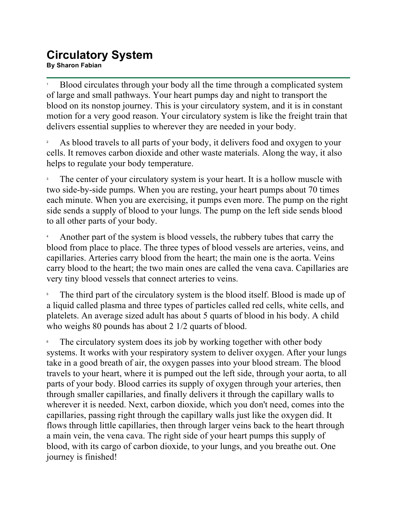## **Circulatory System By Sharon Fabian<br>By Sharon Fabian**

1 Blood circulates through your body all the time through a complicated system of large and small pathways. Your heart pumps day and night to transport the blood on its nonstop journey. This is your circulatory system, and it is in constant motion for a very good reason. Your circulatory system is like the freight train that delivers essential supplies to wherever they are needed in your body.

2 As blood travels to all parts of your body, it delivers food and oxygen to your cells. It removes carbon dioxide and other waste materials. Along the way, it also helps to regulate your body temperature.

3 The center of your circulatory system is your heart. It is a hollow muscle with two side-by-side pumps. When you are resting, your heart pumps about 70 times each minute. When you are exercising, it pumps even more. The pump on the right side sends a supply of blood to your lungs. The pump on the left side sends blood to all other parts of your body.

4 Another part of the system is blood vessels, the rubbery tubes that carry the blood from place to place. The three types of blood vessels are arteries, veins, and capillaries. Arteries carry blood from the heart; the main one is the aorta. Veins carry blood to the heart; the two main ones are called the vena cava. Capillaries are very tiny blood vessels that connect arteries to veins.

5 The third part of the circulatory system is the blood itself. Blood is made up of a liquid called plasma and three types of particles called red cells, white cells, and platelets. An average sized adult has about 5 quarts of blood in his body. A child who weighs 80 pounds has about 2 1/2 quarts of blood.

6 The circulatory system does its job by working together with other body systems. It works with your respiratory system to deliver oxygen. After your lungs take in a good breath of air, the oxygen passes into your blood stream. The blood travels to your heart, where it is pumped out the left side, through your aorta, to all parts of your body. Blood carries its supply of oxygen through your arteries, then through smaller capillaries, and finally delivers it through the capillary walls to wherever it is needed. Next, carbon dioxide, which you don't need, comes into the capillaries, passing right through the capillary walls just like the oxygen did. It flows through little capillaries, then through larger veins back to the heart through a main vein, the vena cava. The right side of your heart pumps this supply of blood, with its cargo of carbon dioxide, to your lungs, and you breathe out. One journey is finished!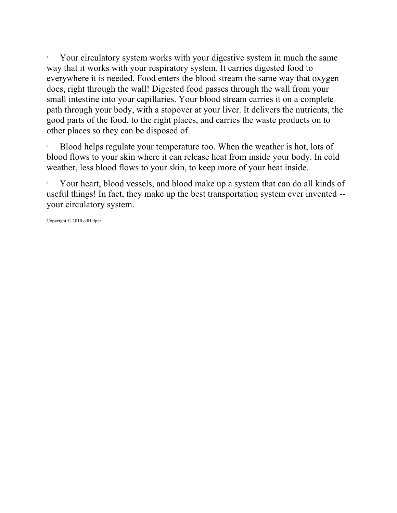7 Your circulatory system works with your digestive system in much the same way that it works with your respiratory system. It carries digested food to everywhere it is needed. Food enters the blood stream the same way that oxygen does, right through the wall! Digested food passes through the wall from your small intestine into your capillaries. Your blood stream carries it on a complete path through your body, with a stopover at your liver. It delivers the nutrients, the good parts of the food, to the right places, and carries the waste products on to other places so they can be disposed of.

8 Blood helps regulate your temperature too. When the weather is hot, lots of blood flows to your skin where it can release heat from inside your body. In cold weather, less blood flows to your skin, to keep more of your heat inside.

9 Your heart, blood vessels, and blood make up a system that can do all kinds of useful things! In fact, they make up the best transportation system ever invented - your circulatory system.

Copyright © 2010 edHelper